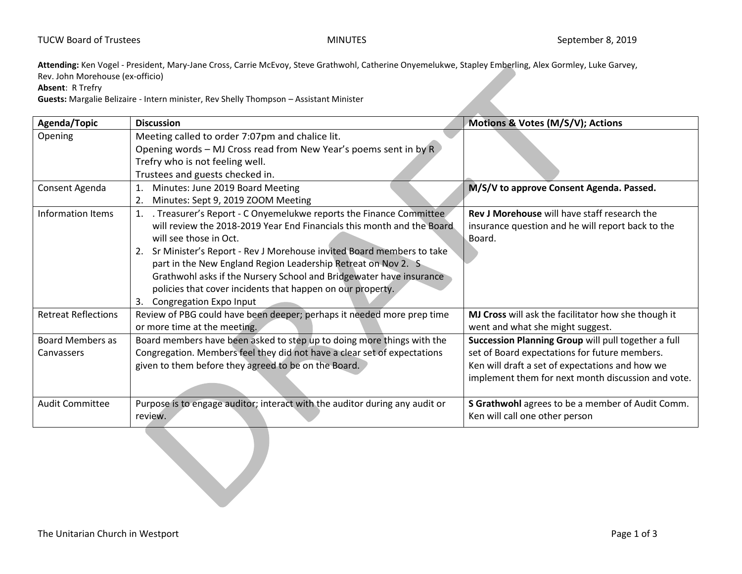**Attending:** Ken Vogel - President, Mary-Jane Cross, Carrie McEvoy, Steve Grathwohl, Catherine Onyemelukwe, Stapley Emberling, Alex Gormley, Luke Garvey, Rev. John Morehouse (ex-officio)

**Absent**: R Trefry

**Guests:** Margalie Belizaire - Intern minister, Rev Shelly Thompson – Assistant Minister

| Agenda/Topic                          | <b>Discussion</b>                                                                                                                                                                                                                                                                                                                                                                                                                                                                           | Motions & Votes (M/S/V); Actions                                                                                                                                                                              |
|---------------------------------------|---------------------------------------------------------------------------------------------------------------------------------------------------------------------------------------------------------------------------------------------------------------------------------------------------------------------------------------------------------------------------------------------------------------------------------------------------------------------------------------------|---------------------------------------------------------------------------------------------------------------------------------------------------------------------------------------------------------------|
| Opening                               | Meeting called to order 7:07pm and chalice lit.<br>Opening words - MJ Cross read from New Year's poems sent in by R<br>Trefry who is not feeling well.<br>Trustees and guests checked in.                                                                                                                                                                                                                                                                                                   |                                                                                                                                                                                                               |
| Consent Agenda                        | Minutes: June 2019 Board Meeting<br>Minutes: Sept 9, 2019 ZOOM Meeting                                                                                                                                                                                                                                                                                                                                                                                                                      | M/S/V to approve Consent Agenda. Passed.                                                                                                                                                                      |
| Information Items                     | . Treasurer's Report - C Onyemelukwe reports the Finance Committee<br>will review the 2018-2019 Year End Financials this month and the Board<br>will see those in Oct.<br>Sr Minister's Report - Rev J Morehouse invited Board members to take<br>2.<br>part in the New England Region Leadership Retreat on Nov 2. S<br>Grathwohl asks if the Nursery School and Bridgewater have insurance<br>policies that cover incidents that happen on our property.<br>Congregation Expo Input<br>3. | Rev J Morehouse will have staff research the<br>insurance question and he will report back to the<br>Board.                                                                                                   |
| <b>Retreat Reflections</b>            | Review of PBG could have been deeper; perhaps it needed more prep time<br>or more time at the meeting.                                                                                                                                                                                                                                                                                                                                                                                      | MJ Cross will ask the facilitator how she though it<br>went and what she might suggest.                                                                                                                       |
| <b>Board Members as</b><br>Canvassers | Board members have been asked to step up to doing more things with the<br>Congregation. Members feel they did not have a clear set of expectations<br>given to them before they agreed to be on the Board.                                                                                                                                                                                                                                                                                  | Succession Planning Group will pull together a full<br>set of Board expectations for future members.<br>Ken will draft a set of expectations and how we<br>implement them for next month discussion and vote. |
| <b>Audit Committee</b>                | Purpose is to engage auditor; interact with the auditor during any audit or<br>review.                                                                                                                                                                                                                                                                                                                                                                                                      | S Grathwohl agrees to be a member of Audit Comm.<br>Ken will call one other person                                                                                                                            |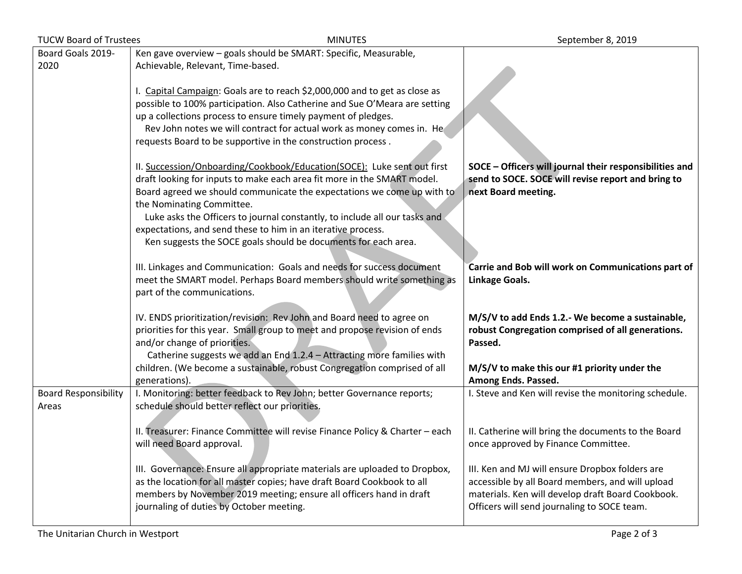| <b>MINUTES</b><br><b>TUCW Board of Trustees</b> |                                                                              | September 8, 2019                                       |
|-------------------------------------------------|------------------------------------------------------------------------------|---------------------------------------------------------|
| Board Goals 2019-                               | Ken gave overview - goals should be SMART: Specific, Measurable,             |                                                         |
| 2020                                            | Achievable, Relevant, Time-based.                                            |                                                         |
|                                                 |                                                                              |                                                         |
|                                                 | I. Capital Campaign: Goals are to reach \$2,000,000 and to get as close as   |                                                         |
|                                                 | possible to 100% participation. Also Catherine and Sue O'Meara are setting   |                                                         |
|                                                 | up a collections process to ensure timely payment of pledges.                |                                                         |
|                                                 | Rev John notes we will contract for actual work as money comes in. He        |                                                         |
|                                                 | requests Board to be supportive in the construction process.                 |                                                         |
|                                                 |                                                                              |                                                         |
|                                                 | II. Succession/Onboarding/Cookbook/Education(SOCE): Luke sent out first      | SOCE - Officers will journal their responsibilities and |
|                                                 | draft looking for inputs to make each area fit more in the SMART model.      | send to SOCE. SOCE will revise report and bring to      |
|                                                 | Board agreed we should communicate the expectations we come up with to       | next Board meeting.                                     |
|                                                 | the Nominating Committee.                                                    |                                                         |
|                                                 | Luke asks the Officers to journal constantly, to include all our tasks and   |                                                         |
|                                                 | expectations, and send these to him in an iterative process.                 |                                                         |
|                                                 | Ken suggests the SOCE goals should be documents for each area.               |                                                         |
|                                                 |                                                                              |                                                         |
|                                                 | III. Linkages and Communication: Goals and needs for success document        | Carrie and Bob will work on Communications part of      |
|                                                 | meet the SMART model. Perhaps Board members should write something as        | Linkage Goals.                                          |
|                                                 | part of the communications.                                                  |                                                         |
|                                                 | IV. ENDS prioritization/revision: Rev John and Board need to agree on        | M/S/V to add Ends 1.2.- We become a sustainable,        |
|                                                 | priorities for this year. Small group to meet and propose revision of ends   | robust Congregation comprised of all generations.       |
|                                                 | and/or change of priorities.                                                 | Passed.                                                 |
|                                                 | Catherine suggests we add an End 1.2.4 - Attracting more families with       |                                                         |
|                                                 | children. (We become a sustainable, robust Congregation comprised of all     | M/S/V to make this our #1 priority under the            |
|                                                 | generations).                                                                | Among Ends. Passed.                                     |
| <b>Board Responsibility</b>                     | I. Monitoring: better feedback to Rev John; better Governance reports;       | I. Steve and Ken will revise the monitoring schedule.   |
| Areas                                           | schedule should better reflect our priorities.                               |                                                         |
|                                                 |                                                                              |                                                         |
|                                                 | II. Treasurer: Finance Committee will revise Finance Policy & Charter - each | II. Catherine will bring the documents to the Board     |
|                                                 | will need Board approval.                                                    | once approved by Finance Committee.                     |
|                                                 |                                                                              |                                                         |
|                                                 | III. Governance: Ensure all appropriate materials are uploaded to Dropbox,   | III. Ken and MJ will ensure Dropbox folders are         |
|                                                 | as the location for all master copies; have draft Board Cookbook to all      | accessible by all Board members, and will upload        |
|                                                 | members by November 2019 meeting; ensure all officers hand in draft          | materials. Ken will develop draft Board Cookbook.       |
|                                                 | journaling of duties by October meeting.                                     | Officers will send journaling to SOCE team.             |
|                                                 |                                                                              |                                                         |